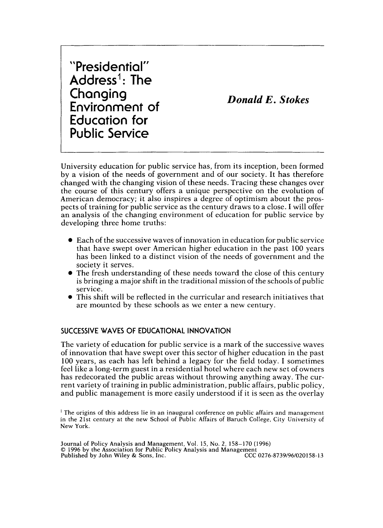**"Presidential"**  Address<sup>1</sup>: The **Changing Environment of Education for Public Service** 

*Donald E. Stokes* 

University education for public service has, from its inception, been formed by a vision of the needs of government and of our society. It has therefore changed with the changing vision of these needs. Tracing these changes over the course of this century offers a unique perspective on the evolution of American democracy; it also inspires a degree of optimism about the prospects of training for public service as the century draws to a close. **I** will offer an analysis of the changing environment of education for public service by developing three home truths:

- Each of the successive waves of innovation in education for public service that have swept over American higher education in the past 100 years has been linked to a distinct vision of the needs of government and the society it serves.
- The fresh understanding of these needs toward the close of this century is bringing a major shift in the traditional mission of the schools of public service.
- *0* This shift will be reflected in the curricular and research initiatives that are mounted by these schools as we enter a new century.

# **SUCCESSIVE WAVES OF EDUCATIONAL INNOVATION**

The variety of education for public service is a mark of the successive waves of innovation that have swept over this sector of higher education in the past 100 years, as each has left behind a legacy for the field today. I sometimes feel like a long-term guest in a residential hotel where each new set of owners has redecorated the public areas without throwing anything away. The current variety of training in public administration, public affairs, public policy, and public management is more easily understood if it is seen as the overlay

<sup>1</sup> The origins of this address lie in an inaugural conference on public affairs and management in the 2lst century at the new School of Public Affairs of Baruch College, City University of New **York.** 

Journal of Policy Analysis and Management, Vol. 15, **No.** 2, 158-170 (1996) ouring of October Analysis and Management<br> **C** 1996 by the Association for Public Policy Analysis and Management CCC 0276-8739/96/020158-13<br>Published by John Wiley & Sons, Inc. CCC 0276-8739/96/020158-13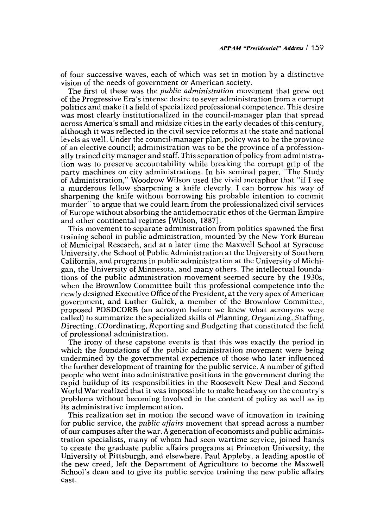of four successive waves, each of which was set in motion by a distinctive vision of the needs of government or American society.

The first of these was the *public administration* movement that grew out of the Progressive Era's intense desire to sever administration from a corrupt politics and make it a field of specialized professional competence. This desire was most clearly institutionalized in the council-manager plan that spread across America's small and midsize cities in the early decades of this century, although it was reflected in the civil service reforms at the state and national levels as well. Under the council-manager plan, policy was to be the province of an elective council; administration was to be the province of a professionally trained city manager and staff. This separation of policy from administration was to preserve accountability while breaking the corrupt grip of the party machines on city administrations. In his seminal paper, "The Study of Administration," Woodrow Wilson used the vivid metaphor that "if I see a murderous fellow sharpening a knife cleverly, **I** can borrow his way of sharpening the knife without borrowing his probable intention to commit murder" to argue that we could learn from the professionalized civil services of Europe without absorbing the antidemocratic ethos of the German Empire and other continental regimes [Wilson, 1887].

This movement to separate administration from politics spawned the first training school in public administration, mounted by the New York Bureau of Municipal Research, and at a later time the Maxwell School at Syracuse University, the School of Public Administration at the University of Southern California, and programs in public administration at the University of Michigan, the University of Minnesota, and many others. The intellectual foundations of the public administration movement seemed secure by the 1930s, when the Brownlow Committee built this professional competence into the newly designed Executive Office of the President, at the very apex of American government, and Luther Gulick, a member of the Brownlow Committee, proposed POSDCORB (an acronym before we knew what acronyms were called) to summarize the specialized skills of Planning, Organizing, Staffing, Directing, Coordinating, Reporting and Budgeting that constituted the field of professional administration.

The irony of these capstone events is that this was exactly the period in which the foundations of the public administration movement were being undermined by the governmental experience of those who later influenced the further development of training for the public service. A number of gifted people who went into administrative positions in the government during the rapid buildup of its responsibilities in the Roosevelt New Deal and Second World War realized that it was impossible to make headway on the country's problems without becoming involved in the content of policy as well as in its administrative implementation.

This realization set in motion the second wave of innovation in training for public service, the *public affairs* movement that spread across a number of our campuses after the war. A generation of economists and public administration specialists, many of whom had seen wartime service, joined hands to create the graduate public affairs programs at Princeton University, the University of Pittsburgh, and elsewhere. Paul Appleby, a leading apostle of the new creed, left the Department **of** Agriculture to become the Maxwell School's dean and to give its public service training the new public affairs cast.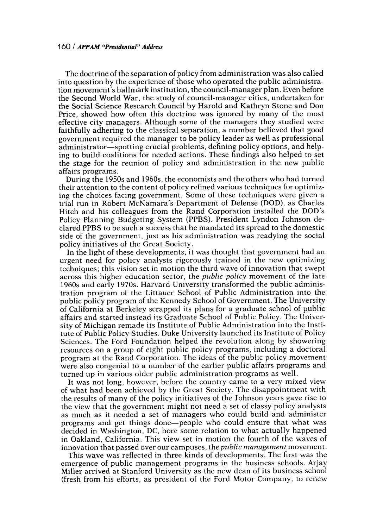The doctrine of the separation of policy from administration was also called into question by the experience of those who operated the public administration movement's hallmark institution, the council-manager plan. Even before the Second World War, the study of council-manager cities, undertaken for the Social Science Research Council by Harold and Kathryn Stone and Don Price, showed how often this doctrine was ignored by many of the most effective city managers. Although some of the managers they studied were faithfully adhering to the classical separation, a number believed that good government required the manager to be policy leader as well as professional administrator-spotting crucial problems, defining policy options, and helping to build coalitions for needed actions. These findings also helped to set the stage for the reunion of policy and administration in the new public affairs programs.

During the 1950s and 1960s, the economists and the others who had turned their attention to the content of policy refined various techniques for optimizing the choices facing government. Some of these techniques were given a trial run in Robert McNamara's Department of Defense (DOD), as Charles Hitch and his colleagues from the Rand Corporation installed the DOD's Policy Planning Budgeting System (PPBS). President Lyndon Johnson declared PPBS to be such a success that he mandated its spread to the domestic side of the government, just as his administration was readying the social policy initiatives of the Great Society.

In the light of these developments, it was thought that government had an urgent need for policy analysts rigorously trained in the new optimizing techniques; this vision set in motion the third wave of innovation that swept across this higher education sector, the *public policy* movement of the late 1960s and early 1970s. Harvard University transformed the public administration program of the Littauer School of Public Administration into the public policy program of the Kennedy School of Government. The University of California at Berkeley scrapped its plans for a graduate school of public affairs and started instead its Graduate School of Public Policy. The University of Michigan remade its Institute of Public Administration into the Institute of Public Policy Studies. Duke University launched its Institute of Policy Sciences. The Ford Foundation helped the revolution along by showering resources on a group of eight public policy programs, including a doctoral program at the Rand Corporation. The ideas of the public policy movement were also congenial to a number of the earlier public affairs programs and turned up in various older public administration programs as well.

It was not long, however, before the country came to a very mixed view of what had been achieved by the Great Society. The disappointment with the results of many of the policy initiatives of the Johnson years gave rise to the view that the government might not need a set of classy policy analysts as much as it needed a set of managers who could build and administer programs and get things done-people who could ensure that what was decided in Washington, DC, bore some relation to what actually happened in Oakland, California. This view set in motion the fourth of the waves of innovation that passed over our campuses, the *public management* movement.

This wave was reflected in three kinds of developments. The first was the emergence of public management programs in the business schools. Arjay Miller arrived at Stanford University as the new dean of its business school (fresh from his efforts, as president of the Ford Motor Company, to renew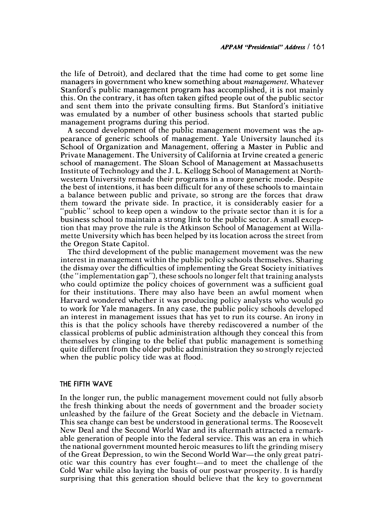the life of Detroit), and declared that the time had come to get some line managers in government who knew something about *management.* Whatever Stanford's public management program has accomplished, it is not mainly this. On the contrary, it has often taken gifted people out of the public sector and sent them into the private consulting firms. But Stanford's initiative was emulated by a number of other business schools that started public management programs during this period.

A second development of the public management movement was the appearance of generic schools of management. Yale University launched its School of Organization and Management, offering a Master in Public and Private Management. The University of California at Irvine created a generic school of management. The Sloan School of Management at Massachusetts Institute of Technology and the J. L. Kellogg School of Management at Northwestern University remade their programs in a more generic mode. Despite the best of intentions, it has been difficult for any of these schools to maintain a balance between public and private, so strong are the forces that draw them toward the private side. In practice, it is considerably easier for a "public" school to keep open a window to the private sector than it is for a business school to maintain a strong link to the public sector. A small exception that may prove the rule is the Atkinson School of Management at Willamette University which has been helped by its location across the street from the Oregon State Capitol.

The third development of the public management movement was the new interest in management within the public policy schools themselves. Sharing the dismay over the difficulties of implementing the Great Society initiatives (the "implementation gap"), these schools no longer felt that training analysts who could optimize the policy choices of government was a sufficient goal for their institutions. There may also have been an awful moment when Harvard wondered whether it was producing policy analysts who would go to work for Yale managers. In any case, the public policy schools developed an interest in management issues that has yet to run its course. An irony in this is that the policy schools have thereby rediscovered a number of the classical problems of public administration although they conceal this from themselves by clinging to the belief that public management is something quite different from the older public administration they so stronglv rejected when the public policy tide was at flood.

#### **THE FIFTH WAVE**

In the longer run, the public management movement could not fully absorb the fresh thinking about the needs of government and the broader society unleashed by the failure of the Great Society and the debacle in Vietnam. This sea change can best be understood in generational terms. The Roosevelt New Deal and the Second World War and its aftermath attracted a remarkable generation of people into the federal service. This was an era in which the national government mounted heroic measures to lift the grinding misery of the Great Depression, to win the Second World War-the only great patriotic war this country has ever fought-and to meet the challenge of the Cold War while also laying the basis of our postwar prosperity. It is hardly surprising that this generation should believe that the key to government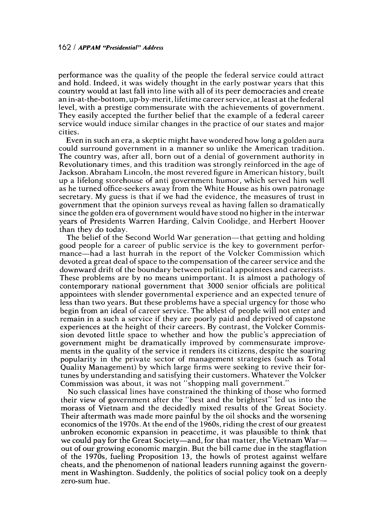performance was the quality of the people the federal service could attract and hold. Indeed, it was widely thought in the early postwar years that this country would at last fall into line with all of its peer democracies and create an in-at-the-bottom, up-by-merit, lifetime career service, at least at the federal level, with a prestige commensurate with the achievements of government. They easily accepted the further belief that the example of a federal career service would induce similar changes in the practice of our states and major cities.

Even in such an era, a skeptic might have wondered how long a golden aura could surround government in a manner *so* unlike the American tradition. The country was, after all, born out of a denial of government authority in Revolutionary times, and this tradition was strongly reinforced in the age of Jackson. Abraham Lincoln, the most revered figure in American history, built up a lifelong storehouse of anti government humor, which served him well as he turned office-seekers away from the White House as his own patronage secretary. My guess is that if we had the evidence, the measures of trust in government that the opinion surveys reveal as having fallen *so* dramatically since the golden era of government would have stood no higher in the interwar years of Presidents Warren Harding, Calvin Coolidge, and Herbert Hoover than they do today.

The belief of the Second World War generation—that getting and holding good people for a career of public service is the key to government performance-had a last hurrah in the report of the Volcker Commission which devoted a great deal of space to the compensation of the career service and the downward drift of the boundary between political appointees and careerists. These problems are by no means unimportant. It is almost a pathology of contemporary national government that 3000 senior officials are political appointees with slender governmental experience and an expected tenure of less than two years. But these problems have a special urgency for those who begin from an ideal of career service. The ablest of people will not enter and remain in a such a service if they are poorly paid and deprived of capstone experiences at the height of their careers. By contrast, the Volcker Commission devoted little space to whether and how the public's appreciation of government might be dramatically improved by commensurate improvements in the quality of the service it renders its citizens, despite the soaring popularity in the private sector of management strategies (such as Total Quality Management) by which large firms were seeking to revive their fortunes by understanding and satisfying their customers. Whatever the Volcker Commission was about, it was not "shopping mall government."

No such classical lines have constrained the thinking of those who formed their view of government after the "best and the brightest" led us into the morass of Vietnam and the decidedly mixed results of the Great Society. Their aftermath was made more painful by the oil shocks and the worsening economics of the 1970s. At the end of the 1960s, riding the crest of our greatest unbroken economic expansion in peacetime, it was plausible to think that we could pay for the Great Society—and, for that matter, the Vietnam Warout of our growing economic margin. But the bill came due in the stagflation of the 1970s, fueling Proposition 13, the howls of protest against welfare cheats, and the phenomenon of national leaders running against the government in Washington. Suddenly, the politics of social policy took on a deeply zero-sum hue.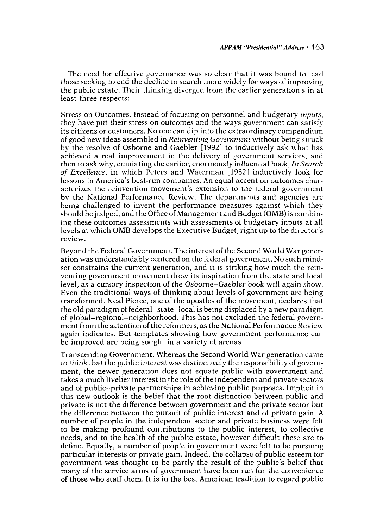The need for effective governance was so clear that it was bound to lead those seeking to end the decline to search more widely for ways of improving the public estate. Their thinking diverged from the earlier generation's in at least three respects:

Stress on Outcomes. Instead of focusing on personnel and budgetary *inputs,*  they have put their stress on outcomes and the ways government can satisfy its citizens or customers. No one can dip into the extraordinary compendium of good new ideas assembled in *Reinventing Government* without being struck by the resolve of Osborne and Gaebler [1992] to inductively ask what has achieved a real improvement in the delivery of government services, and then to ask why, emulating the earlier, enormously influential book, *1n Search of Excellence,* in which Peters and Waterman [ 19821 inductively look for lessons in America's best-run companies. An equal accent on outcomes characterizes the reinvention movement's extension to the federal government by thc National Performance Review. The departments and agencies are being challenged to invent the performance measures against which they should be judged, and the Office of Management and Budget (OMB) is combining these outcomes assessments with assessments of budgetary inputs at all levels at which OMB develops the Executive Budget, right up to the director's review.

Beyond the Federal Government. The interest of the Second World War generation was understandably centered on the federal government. No such mindset constrains the current generation, and it is striking how much the reinventing government movement drew its inspiration from the state and local level, as a cursory inspection of the Osborne-Gaebler book will again show. Even the traditional ways of thinking about levels of government are being transformed. Neal Pierce, one of the apostles of the movement, declares that the old paradigm of federal-state-local is being displaced by a new paradigm of global-regional-neighborhood. This has not excluded the federal government from the attention of the reformers, as the National Performance Review again indicates. But templates showing how government performance can be improved are being sought in a variety of arenas.

Transcending Government. Whereas the Second World War generation came *to* think that the public interest was distinctively the responsibility of government, the newer generation does not equate public with government and takes a much livelier interest in the role of the independent and private sectors and of public-private partnerships in achieving public purposes. Implicit in this new outlook is the belief that the root distinction between public and private is not the difference between government and the private sector but the difference between the pursuit of public interest and of private gain. A number of people in the independent sector and private business were felt to be making profound contributions to the public interest, to collective needs, and to the health of the public estate, however difficult these are to define. Equally, a number of people in government were felt to be pursuing particular interests or private gain. Indeed, the collapse of public esteem for government was thought to be partly the result of the public's belief that many of the service arms of government have been run for the convenience of those who staff them. It is in the best American tradition to regard public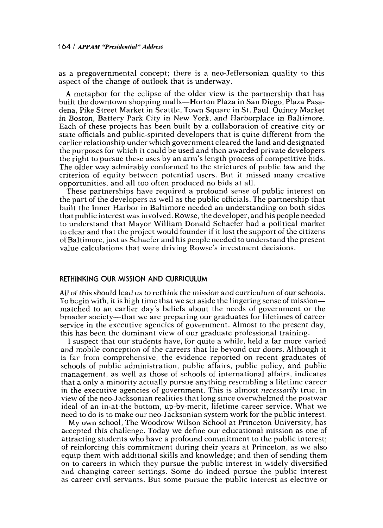as a pregovernmental concept; there is a neo-Jeffersonian quality to this aspect of the change of outlook that is underway.

A metaphor for the eclipse of the older view is the partnership that has built the downtown shopping malls-Horton Plaza in San Diego, Plaza Pasadena, Pike Street Market in Seattle, Town Square in St. Paul, Quincy Market in Boston, Battery Park City in New York, and Harborplace in Baltimore. Each of these projects has been built by a collaboration of creative city or state officials and public-spirited developers that is quite different from the earlier relationship under which government cleared the land and designated the purposes for which it could be used and then awarded private developers the right to pursue these uses by an arm's length process of competitive bids. The older way admirably conformed to the strictures of public law and the criterion of equity between potential users. But it missed many creative opportunities, and all too often produced no bids at all.

These partnerships have required a profound sense of public interest on the part of the developers as well as the public officials. The partnership that built the Inner Harbor in Baltimore needed an understanding on both sides that public interest was involved. Rowse, the developer, and his people needed to understand that Mayor William Donald Schaefer had a political market to clear and that the project would founder if it lost the support of the citizens of Baltimore, just as Schaefer and his people needed to understand the present value calculations that were driving Rowse's investment decisions.

## **RETHINKING OUR MISSION AND CURRICULUM**

All of this should lead us *to* rethink the mission and curriculum of our schools. To begin with, it is high time that we set aside the lingering sense of mission matched to an earlier day's beliefs about the needs of government or the broader society-that we are preparing our graduates for lifetimes of career service in the executive agencies of government. Almost to the present day, this has been the dominant view of our graduate professional training.

**I** suspect that our students have, for quite a while, held a far more varied and mobile conception of the careers that lie beyond our doors. Although it is far from comprehensive, the evidence reported on recent graduates of schools of public administration, public affairs, public policy, and public management, as well as those of schools of international affairs, indicates that a only a minority actually pursue anything resembling a lifetimc career in the executive agencies of government. This is almost *necessarily* true, in view of the neo-Jacksonian realities that long since overwhelmed the postwar ideal of an in-at-the-bottom, up-by-merit, lifetime career service. What we need to do is to make our neo-Jacksonian system work for the public interest.

**My** own school, The Woodrow Wilson School at Princeton University, has accepted this challenge. Today we define our educational mission as one of attracting students who have a profound commitment to the public interest; of reinforcing this commitment during their years at Princeton, as we also equip them with additional skills and knowledge; and then of sending them on to careers in which they pursue the public interest in widely diversified and changing career settings. Some do indeed pursue the public interest as career civil servants. But some pursue the public interest as elective or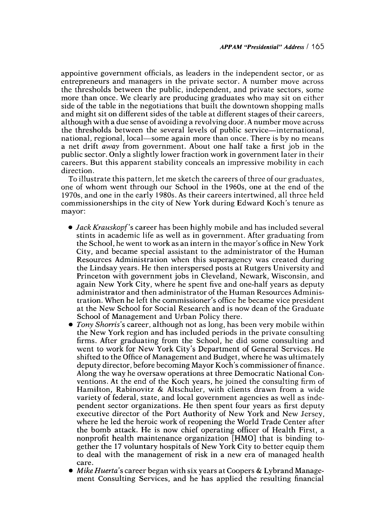appointive government officials, as leaders in the independent sector, or as entrepreneurs and managers in the private sector. A number move across the thresholds between the public, independent, and private sectors, some more than once. We clearly are producing graduates who may sit on either side of the table in the negotiations that built the downtown shopping malls and might sit on different sides of the table at different stages of their careers, although with a due sense of avoiding a revolving door. A number move across the thresholds between the several levels of public service-international, national, regional, local—some again more than once. There is by no means a net drift *away* from government. About one half take a first job in the public sector. Only a slightly lower fraction work in government later in their careers. But this apparent stability conceals an impressive mobility in each direction.

To illustrate this pattern, let me sketch the careers of three of our graduates, one of whom went through our School in the 1960s, one at the end of the 1970s, and one in the early 1980s. As their careers intertwined, all three held commissionerships in the city of New York during Edward Koch's tenure as mayor:

- *0 Jack Krauskopf's* career has been highly mobile and has included several stints in academic life as well as in government. After graduating from the School, he went to work as an intern in the mayor's office in New York City, and became special assistant to the administrator of the Human Resources Administration when this superagency was created during the Lindsay years. He then interspersed posts at Rutgers University and Princeton with government jobs in Cleveland, Newark, Wisconsin, and again New York City, where he spent five and one-half years as deputy administrator and then administrator of the Human Resources Administration. When he left the commissioner's office he became vice president at the New School for Social Research and is now dean of the Graduate School of Management and Urban Policy there.
- *0 Tony Showis's* career, although not as long, has been very mobile within the New York region and has included periods in the private consulting firms. After graduating from the School, he did some consulting and went to work for New York City's Department of General Services. He shifted to the Office of Management and Budget, where he was ultimately deputy director, before becoming Mayor Koch's commissioner of finance. Along the way he oversaw operations at three Democratic National Conventions. At the end of the Koch years, he joined the consulting firm of Hamilton, Rabinovitz & Altschuler, with clients drawn from a wide variety of federal, state, and local government agencies as well as independent sector organizations. He then spent four years as first deputy executive director of the Port Authority of New York and New Jersey, where he led the heroic work of reopening the World Trade Center after the bomb attack. He is now chief operating officer of Health First, a nonprofit health maintenance organization [HMO] that is binding together the 17 voluntary hospitals of New York City to better equip them to deal with the management of risk in a new era of managed health care.
- *0 Mike Huerta's* career began with six years at Coopers & Lybrand Management Consulting Services, and he has applied the resulting financial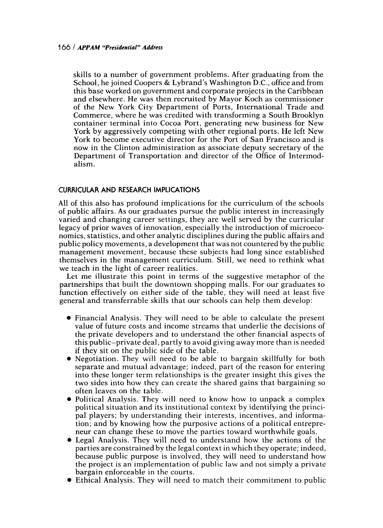skills to a number of government problems. After graduating from the School, he joined Coopers & Lybrand's Washington D.C., office and from this base worked on government and corporate projects in the Caribbean and elsewhere. He was then recruited by Mayor Koch as commissioner of the New York City Department of Ports, International Trade and Commerce, where he was credited with transforming a South Brooklyn container terminal into Cocoa Port, generating new business for New York by aggressively competing with other regional ports. He left New York to become executive director for the Port of San Francisco and is now in the Clinton administration as associate deputy secretary of the Department of Transportation and director of the Office of Intermodalism.

## **CURRICULAR AND RESEARCH IMPLICATIONS**

All of this also has profound implications for the curriculum of the schools of public affairs. As our graduates pursue the public interest in increasingly varied and changing career settings, they are well served by the curricular legacy of prior waves of innovation, especially the introduction of microeconomics, statistics, and other analytic disciplines during the public affairs and public policy movements, a development that was not countered by the public management movement, because these subjects had long since established themselves in the management curriculum. Still, we need to rethink what we teach in the light of career realities.

Let me illustrate this point in terms of the suggestive metaphor of the partnerships that built the downtown shopping malls. For our graduates to function effectively on either side of the table, they will need at least five general and transferrable skills that our schools can help them develop:

- Financial Analysis. They will need to be able to calculate the present value of future costs and income streams that underlie the decisions of the private developers and to understand the other financial aspects of this public-private deal, partly to avoid giving away more than is needed if they sit on the public side of the table.
- *0* Negotiation. They will need to be able to bargain skillfully for both separate and mutual advantage; indeed, part of the reason for entering into these longer term relationships is the greater insight this gives the two sides into how they can create the shared gains that bargaining so often leaves on the table.
- *0* Political Analysis. They will need to know how to unpack a complex political situation and its institutional context by identifying the principal players; by understanding their interests, incentives, and information; and by knowing how the purposive actions of a political entrepreneur can change these *to* move the parties toward worthwhile goals.
- *0* Legal Analysis. They will need to understand how the actions of the parties are constrained by the legal context in which they operate; indeed, because public purpose is involved, they will need to understand how the project is an implementation of public law and not simply a private bargain enforceable in the courts.
- Ethical Analysis. They will need to match their commitment to public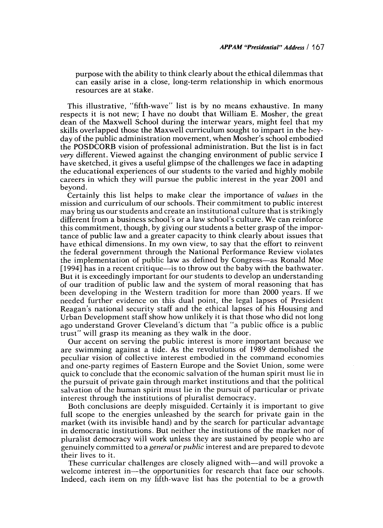purpose with the ability to think clearly about the ethical dilemmas that can easily arise in a close, long-term relationship in which enormous resources are at stake.

This illustrative, "fifth-wave" list is by no means exhaustive. In many respects it is not new; I have no doubt that William E. Mosher, the great dean of the Maxwell School during the interwar years, might feel that my skills overlapped those the Maxwell curriculum sought to impart in the heyday of the public administration movement, when Mosher's school embodied the POSDCORB vision of professional administration. But the list is in fact *very* different. Viewed against the changing environment of public service I have sketched, it gives a useful glimpse of the challenges we face in adapting the educational experiences of our students to the varied and highly mobile careers in which they will pursue the public interest in the year 2001 and beyond.

Certainly this list helps to make clear the importance of *vaIues* in the mission and curriculum of our schools. Their commitment to public interest may bring us our students and create an institutional culture that is strikingly different from a business school's or a law school's culture. We can reinforce this commitment, though, by giving our students a better grasp of the importance of public law and a greater capacity to think clearly about issues that have ethical dimensions. In my own view, to say that the effort to reinvent the federal government through the National Performance Review violates the implementation of public law as defined by Congress-as Ronald Moe  $[1994]$  has in a recent critique—is to throw out the baby with the bathwater. But it is exceedingly important for our students to develop an understanding of our tradition of public law and the system of moral reasoning that has been developing in the Western tradition for more than 2000 years. If we needed further evidence on this dual point, the legal lapses of President Reagan's national security staff and the ethical lapses of his Housing and Urban Development staff show how unlikely it is that those who did not long ago understand Grover Cleveland's dictum that "a public office is a public trust" will grasp its meaning as they walk in the door.

Our accent on serving the public interest is more important because we are swimming against a tide. **As** the revolutions of 1989 demolished the peculiar vision of collective interest embodied in the command economies and one-party regimes of Eastern Europe and the Soviet Union, some were quick to conclude that the economic salvation of the human spirit must lie in the pursuit of private gain through market institutions and that the political salvation of the human spirit must lie in the pursuit of particular or private interest through the institutions of pluralist democracy.

Both conclusions are deeply misguided. Certainly it is important to give full scope to the energies unleashed by the search for private gain in the market (with its invisible hand) and by the search for particular advantage in democratic institutions. But neither the institutions of the market nor of pluralist democracy will work unless they are sustained by people who are genuinely committed to a *general* or *public* interest and are prepared to devote their lives to it.

These curricular challenges are closely aligned with-and will provoke a welcome interest in—the opportunities for research that face our schools. Indeed, each item on my fifth-wave list has the potential to be a growth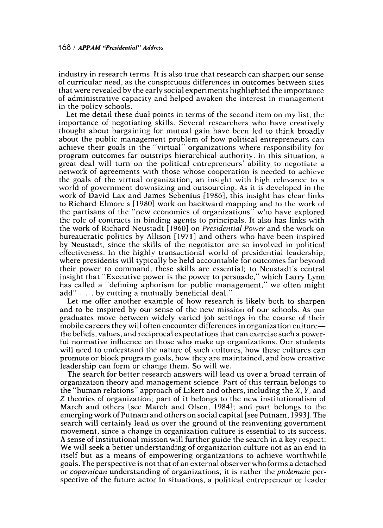industry in research terms. It is also true that research can sharpen our sense of curricular need, as the conspicuous differences in outcomes between sites that were revealed by the early social experiments highlighted the importance of administrative capacity and helped awaken the interest in management in the policy schools.

Let me detail these dual points in terms of the second item on my list, the importance of negotiating skills. Several researchers who have creatively thought about bargaining for mutual gain have been led to think broadly about the public management problem of how political entrepreneurs can achieve their goals in the "virtual" organizations where responsibility for program outcomes far outstrips hierarchical authority. In this situation, a great deal will turn on the political entrepreneurs' ability to negotiate a network of agreements with those whose cooperation is needed to achieve the goals of the virtual organization, an insight with high relevance to a world of government downsizing and outsourcing. As it is developed in the work of David Lax and James Sebenius [1986], this insight has clear links to Richard Elmore's [ 19801 work on backward mapping and to the work of the partisans of the "new economics of organizations" who have explored the role of contracts in binding agents to principals. It also has links with the work of Richard Neustadt [ 19601 on *Presidential Power* and the work on bureaucratic politics by Allison [1971] and others who have been inspired by Neustadt, since the skills of the negotiator are so involved in political effectiveness. In the highly transactional world of presidential leadership, where presidents will typically be held accountable for outcomes far beyond their power to command, these skills are essential; to Neustadt's central insight that "Executive power is the power to persuade," which Larry Lynn has called a "defining aphorism for public management," we often might add" . . . by cutting a mutually beneficial deal."

Let me offer another example of how research is likely both to sharpen and to be inspired by our sense of the new mission of our schools. **As** our graduates move between widely varied job settings in the course of their mobile careers they will often encounter differences in organization culturethe beliefs, values, and reciprocal expectations that can exercise such a powerful normative influence on those who make up organizations. Our students will need to understand the nature of such cultures, how these cultures can promote or block program goals, how they are maintained, and how creative leadership can form or change them. So will we.

The search for better research answers will lead us over a broad terrain of organization theory and management science. Part of this terrain belongs to the "human relations" approach of Likert and others, including the *X, Y,* and Z theories of organization; part of it belongs to the new institutionalism of March and others [see March and Olsen, 19841; and part belongs to the emerging work of Putnam and others on social capital [see Putnam, 19931. The search will certainly lead us over the ground of the reinventing government movement, since a change in organization culture is essential to its success. **<sup>A</sup>**sense of institutional mission will further guide the search in a key respect: We will seek a better understanding of organization culture not as an end in itself but as a means of empowering organizations to achieve worthwhile goals. The perspective is not that of an external observer who forms a detached or *Copernican* understanding of organizations; it is rather the *ptolemaic* perspective of the future actor in situations, a political entrepreneur or leader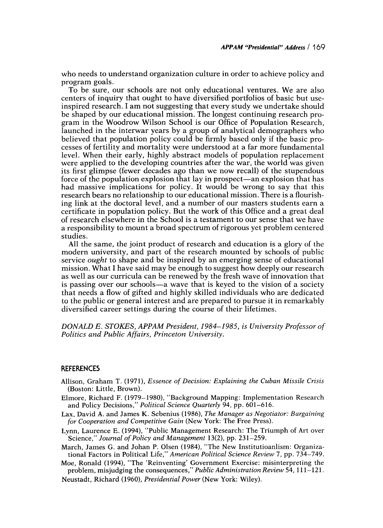who needs to understand organization culture in order to achieve policy and program goals.

To be sure, our schools are not only educational ventures. We are also centers of inquiry that ought to have diversified portfolios of basic but useinspired research. I am not suggesting that every study we undertake should be shaped by our educational mission. The longest continuing research program in the Woodrow Wilson School is our Office of Population Research, launched in the interwar years by a group of analytical demographers who believed that population policy could be firmly based only if the basic processes of fertility and mortality were understood at a far more fundamental level. When their early, highly abstract models of population replacement were applied to the developing countries after the war, the world was given its first glimpse (fewer decades ago than we now recall) of the stupendous force of the population explosion that lay in prospect—an explosion that has had massive implications for policy. It would be wrong to say that this research bears no relationship to our educational mission. There is a flourishing link at the doctoral level, and a number of our masters students earn a certificate in population policy. But the work of this Office and a great deal of research elsewhere in the School is a testament to our sense that we have a responsibility to mount a broad spectrum of rigorous yet problem centered studies.

All the same, the joint product of research and education is a glory of the modern university, and part of the research mounted by schools of public service *ought* to shape and be inspired by an emerging sense of educational mission. What **I** have said may be enough to suggest how deeply our research as well as our curricula can be renewed by the fresh wave of innovation that is passing over our schools—a wave that is keyed to the vision of a society that needs a flow of gifted and highly skilled individuals who are dedicated to the public or general interest and are prepared to pursue it in remarkably diversified career settings during the course of their lifetimes.

*DONALD E. STOKES, APPAM President, 1984-1985, is University Professor of Politics and Public Affairs, Princeton University.* 

#### **REFERENCES**

- Allison, Graham T. (1971), *Essence of Decision: Explaining the Cuban Missile Crisis*  (Boston: Little, Brown).
- Elmore, Richard F. (1979-1980), "Background Mapping: Implementation Research and Policy Decisions," *Political Science Quarterly* 94, pp. 601-616.
- Lax, David **A.** and James **K.** Sebenius (1986), *The Manager as Negotiator: Bargaining for Cooperation and Competitive Gain* (New York: The Free Press).
- Lynn, Laurence E. (1994), "Public Management Research: The Triumph of Art over Science," *Journal of Policy and Management* 13(2), pp. 231-259.
- March, James G. and Johan P. Olsen (1984), "The New Institutioanlism: Organizational Factors in Political Life," *American Political Science Review* 7, pp. 734-749.
- Moe, Ronald (1994), "The 'Reinventing' Government Exercise: misinterpreting the problem, misjudging the consequences," *Public Administration Review* 54, 11 1-121.

Neustadt, Richard (1960), *Presidential Power* (New York: Wiley).